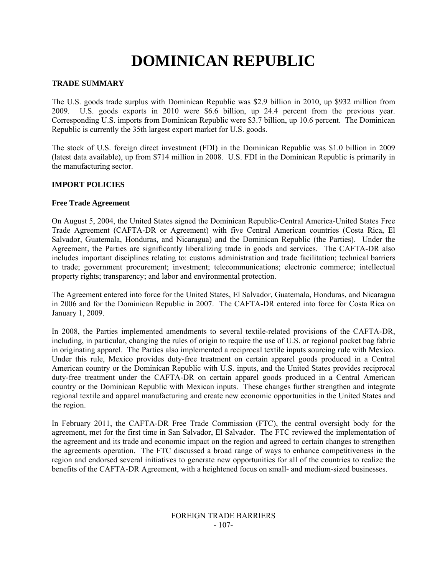# **DOMINICAN REPUBLIC**

## **TRADE SUMMARY**

The U.S. goods trade surplus with Dominican Republic was \$2.9 billion in 2010, up \$932 million from 2009. U.S. goods exports in 2010 were \$6.6 billion, up 24.4 percent from the previous year. Corresponding U.S. imports from Dominican Republic were \$3.7 billion, up 10.6 percent. The Dominican Republic is currently the 35th largest export market for U.S. goods.

The stock of U.S. foreign direct investment (FDI) in the Dominican Republic was \$1.0 billion in 2009 (latest data available), up from \$714 million in 2008. U.S. FDI in the Dominican Republic is primarily in the manufacturing sector.

## **IMPORT POLICIES**

#### **Free Trade Agreement**

On August 5, 2004, the United States signed the Dominican Republic-Central America-United States Free Trade Agreement (CAFTA-DR or Agreement) with five Central American countries (Costa Rica, El Salvador, Guatemala, Honduras, and Nicaragua) and the Dominican Republic (the Parties). Under the Agreement, the Parties are significantly liberalizing trade in goods and services. The CAFTA-DR also includes important disciplines relating to: customs administration and trade facilitation; technical barriers to trade; government procurement; investment; telecommunications; electronic commerce; intellectual property rights; transparency; and labor and environmental protection.

The Agreement entered into force for the United States, El Salvador, Guatemala, Honduras, and Nicaragua in 2006 and for the Dominican Republic in 2007. The CAFTA-DR entered into force for Costa Rica on January 1, 2009.

In 2008, the Parties implemented amendments to several textile-related provisions of the CAFTA-DR, including, in particular, changing the rules of origin to require the use of U.S. or regional pocket bag fabric in originating apparel. The Parties also implemented a reciprocal textile inputs sourcing rule with Mexico. Under this rule, Mexico provides duty-free treatment on certain apparel goods produced in a Central American country or the Dominican Republic with U.S. inputs, and the United States provides reciprocal duty-free treatment under the CAFTA-DR on certain apparel goods produced in a Central American country or the Dominican Republic with Mexican inputs. These changes further strengthen and integrate regional textile and apparel manufacturing and create new economic opportunities in the United States and the region.

In February 2011, the CAFTA-DR Free Trade Commission (FTC), the central oversight body for the agreement, met for the first time in San Salvador, El Salvador. The FTC reviewed the implementation of the agreement and its trade and economic impact on the region and agreed to certain changes to strengthen the agreements operation. The FTC discussed a broad range of ways to enhance competitiveness in the region and endorsed several initiatives to generate new opportunities for all of the countries to realize the benefits of the CAFTA-DR Agreement, with a heightened focus on small- and medium-sized businesses.

#### FOREIGN TRADE BARRIERS - 107-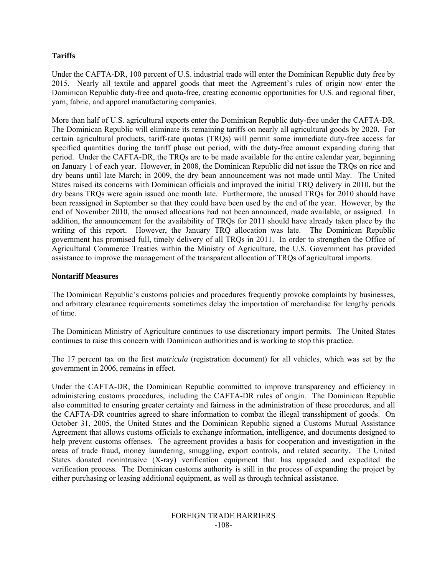# **Tariffs**

Under the CAFTA-DR, 100 percent of U.S. industrial trade will enter the Dominican Republic duty free by 2015. Nearly all textile and apparel goods that meet the Agreement's rules of origin now enter the Dominican Republic duty-free and quota-free, creating economic opportunities for U.S. and regional fiber, yarn, fabric, and apparel manufacturing companies.

More than half of U.S. agricultural exports enter the Dominican Republic duty-free under the CAFTA-DR. The Dominican Republic will eliminate its remaining tariffs on nearly all agricultural goods by 2020. For certain agricultural products, tariff-rate quotas (TRQs) will permit some immediate duty-free access for specified quantities during the tariff phase out period, with the duty-free amount expanding during that period. Under the CAFTA-DR, the TRQs are to be made available for the entire calendar year, beginning on January 1 of each year. However, in 2008, the Dominican Republic did not issue the TRQs on rice and dry beans until late March; in 2009, the dry bean announcement was not made until May. The United States raised its concerns with Dominican officials and improved the initial TRQ delivery in 2010, but the dry beans TRQs were again issued one month late. Furthermore, the unused TRQs for 2010 should have been reassigned in September so that they could have been used by the end of the year. However, by the end of November 2010, the unused allocations had not been announced, made available, or assigned. In addition, the announcement for the availability of TRQs for 2011 should have already taken place by the writing of this report. However, the January TRQ allocation was late. The Dominican Republic government has promised full, timely delivery of all TRQs in 2011. In order to strengthen the Office of Agricultural Commerce Treaties within the Ministry of Agriculture, the U.S. Government has provided assistance to improve the management of the transparent allocation of TRQs of agricultural imports.

## **Nontariff Measures**

The Dominican Republic's customs policies and procedures frequently provoke complaints by businesses, and arbitrary clearance requirements sometimes delay the importation of merchandise for lengthy periods of time.

The Dominican Ministry of Agriculture continues to use discretionary import permits. The United States continues to raise this concern with Dominican authorities and is working to stop this practice.

The 17 percent tax on the first *matricula* (registration document) for all vehicles, which was set by the government in 2006, remains in effect.

Under the CAFTA-DR, the Dominican Republic committed to improve transparency and efficiency in administering customs procedures, including the CAFTA-DR rules of origin. The Dominican Republic also committed to ensuring greater certainty and fairness in the administration of these procedures, and all the CAFTA-DR countries agreed to share information to combat the illegal transshipment of goods. On October 31, 2005, the United States and the Dominican Republic signed a Customs Mutual Assistance Agreement that allows customs officials to exchange information, intelligence, and documents designed to help prevent customs offenses. The agreement provides a basis for cooperation and investigation in the areas of trade fraud, money laundering, smuggling, export controls, and related security. The United States donated nonintrusive (X-ray) verification equipment that has upgraded and expedited the verification process. The Dominican customs authority is still in the process of expanding the project by either purchasing or leasing additional equipment, as well as through technical assistance.

#### FOREIGN TRADE BARRIERS -108-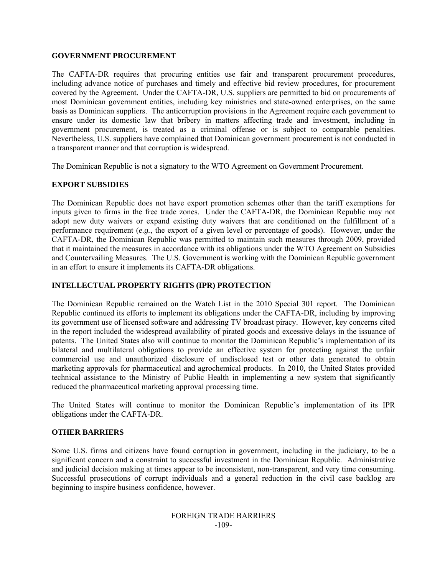## **GOVERNMENT PROCUREMENT**

The CAFTA-DR requires that procuring entities use fair and transparent procurement procedures, including advance notice of purchases and timely and effective bid review procedures, for procurement covered by the Agreement. Under the CAFTA-DR, U.S. suppliers are permitted to bid on procurements of most Dominican government entities, including key ministries and state-owned enterprises, on the same basis as Dominican suppliers. The anticorruption provisions in the Agreement require each government to ensure under its domestic law that bribery in matters affecting trade and investment, including in government procurement, is treated as a criminal offense or is subject to comparable penalties. Nevertheless, U.S. suppliers have complained that Dominican government procurement is not conducted in a transparent manner and that corruption is widespread.

The Dominican Republic is not a signatory to the WTO Agreement on Government Procurement.

## **EXPORT SUBSIDIES**

The Dominican Republic does not have export promotion schemes other than the tariff exemptions for inputs given to firms in the free trade zones. Under the CAFTA-DR, the Dominican Republic may not adopt new duty waivers or expand existing duty waivers that are conditioned on the fulfillment of a performance requirement (*e.g.*, the export of a given level or percentage of goods). However, under the CAFTA-DR, the Dominican Republic was permitted to maintain such measures through 2009, provided that it maintained the measures in accordance with its obligations under the WTO Agreement on Subsidies and Countervailing Measures. The U.S. Government is working with the Dominican Republic government in an effort to ensure it implements its CAFTA-DR obligations.

# **INTELLECTUAL PROPERTY RIGHTS (IPR) PROTECTION**

The Dominican Republic remained on the Watch List in the 2010 Special 301 report. The Dominican Republic continued its efforts to implement its obligations under the CAFTA-DR, including by improving its government use of licensed software and addressing TV broadcast piracy. However, key concerns cited in the report included the widespread availability of pirated goods and excessive delays in the issuance of patents. The United States also will continue to monitor the Dominican Republic's implementation of its bilateral and multilateral obligations to provide an effective system for protecting against the unfair commercial use and unauthorized disclosure of undisclosed test or other data generated to obtain marketing approvals for pharmaceutical and agrochemical products. In 2010, the United States provided technical assistance to the Ministry of Public Health in implementing a new system that significantly reduced the pharmaceutical marketing approval processing time.

The United States will continue to monitor the Dominican Republic's implementation of its IPR obligations under the CAFTA-DR.

## **OTHER BARRIERS**

Some U.S. firms and citizens have found corruption in government, including in the judiciary, to be a significant concern and a constraint to successful investment in the Dominican Republic. Administrative and judicial decision making at times appear to be inconsistent, non-transparent, and very time consuming. Successful prosecutions of corrupt individuals and a general reduction in the civil case backlog are beginning to inspire business confidence, however.